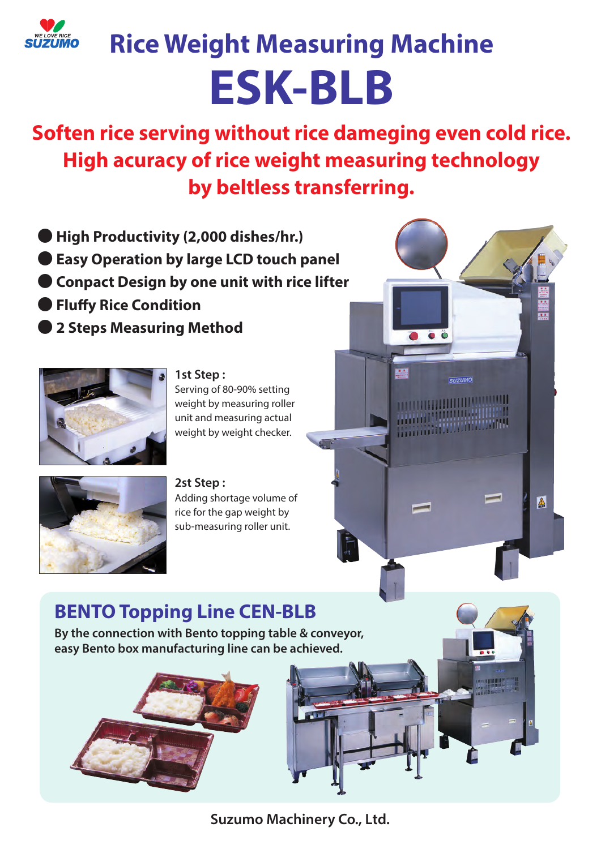

# **Rice Weight Measuring Machine ESK-BLB**

**Soften rice serving without rice dameging even cold rice. High acuracy of rice weight measuring technology by beltless transferring.**

**BEA** 

**SUZUMO** 

 $\triangle$ 

**MARITIME AND IN** 

- ● **High Productivity (2,000 dishes/hr.)**
- Easy Operation by large LCD touch panel
- **Conpact Design by one unit with rice lifter**
- **Fluffy Rice Condition**
- ● **2 Steps Measuring Method**



**1st Step :**

Serving of 80-90% setting weight by measuring roller unit and measuring actual weight by weight checker.



**2st Step :** Adding shortage volume of rice for the gap weight by sub-measuring roller unit.

# **BENTO Topping Line CEN-BLB**

**By the connection with Bento topping table & conveyor, easy Bento box manufacturing line can be achieved.**